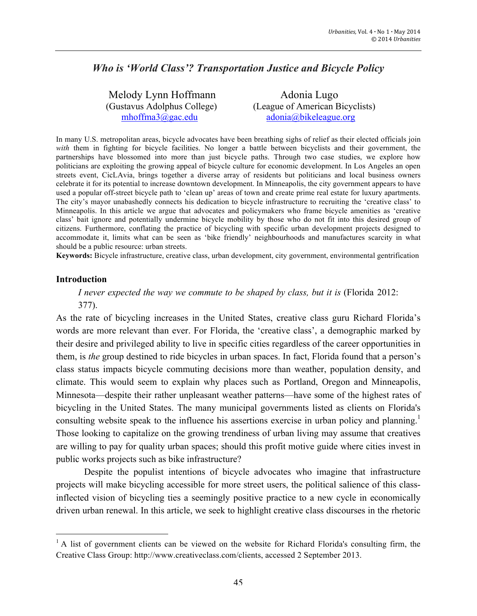# *Who is 'World Class'? Transportation Justice and Bicycle Policy*

| Melody Lynn Hoffmann        | Adonia Lugo                     |
|-----------------------------|---------------------------------|
| (Gustavus Adolphus College) | (League of American Bicyclists) |
| $mhoffma3$ @gac.edu         | adonia@bikeleague.org           |

In many U.S. metropolitan areas, bicycle advocates have been breathing sighs of relief as their elected officials join *with* them in fighting for bicycle facilities. No longer a battle between bicyclists and their government, the partnerships have blossomed into more than just bicycle paths. Through two case studies, we explore how politicians are exploiting the growing appeal of bicycle culture for economic development. In Los Angeles an open streets event, CicLAvia, brings together a diverse array of residents but politicians and local business owners celebrate it for its potential to increase downtown development. In Minneapolis, the city government appears to have used a popular off-street bicycle path to 'clean up' areas of town and create prime real estate for luxury apartments. The city's mayor unabashedly connects his dedication to bicycle infrastructure to recruiting the 'creative class' to Minneapolis. In this article we argue that advocates and policymakers who frame bicycle amenities as 'creative class' bait ignore and potentially undermine bicycle mobility by those who do not fit into this desired group of citizens. Furthermore, conflating the practice of bicycling with specific urban development projects designed to accommodate it, limits what can be seen as 'bike friendly' neighbourhoods and manufactures scarcity in what should be a public resource: urban streets.

**Keywords:** Bicycle infrastructure, creative class, urban development, city government, environmental gentrification

#### **Introduction**

<u> 1989 - Jan Stein Stein, fransk politiker (d. 1989)</u>

## *I never expected the way we commute to be shaped by class, but it is (Florida 2012:* 377).

As the rate of bicycling increases in the United States, creative class guru Richard Florida's words are more relevant than ever. For Florida, the 'creative class', a demographic marked by their desire and privileged ability to live in specific cities regardless of the career opportunities in them, is *the* group destined to ride bicycles in urban spaces. In fact, Florida found that a person's class status impacts bicycle commuting decisions more than weather, population density, and climate. This would seem to explain why places such as Portland, Oregon and Minneapolis, Minnesota—despite their rather unpleasant weather patterns—have some of the highest rates of bicycling in the United States. The many municipal governments listed as clients on Florida's consulting website speak to the influence his assertions exercise in urban policy and planning.<sup>1</sup> Those looking to capitalize on the growing trendiness of urban living may assume that creatives are willing to pay for quality urban spaces; should this profit motive guide where cities invest in public works projects such as bike infrastructure?

Despite the populist intentions of bicycle advocates who imagine that infrastructure projects will make bicycling accessible for more street users, the political salience of this classinflected vision of bicycling ties a seemingly positive practice to a new cycle in economically driven urban renewal. In this article, we seek to highlight creative class discourses in the rhetoric

<sup>&</sup>lt;sup>1</sup> A list of government clients can be viewed on the website for Richard Florida's consulting firm, the Creative Class Group: http://www.creativeclass.com/clients, accessed 2 September 2013.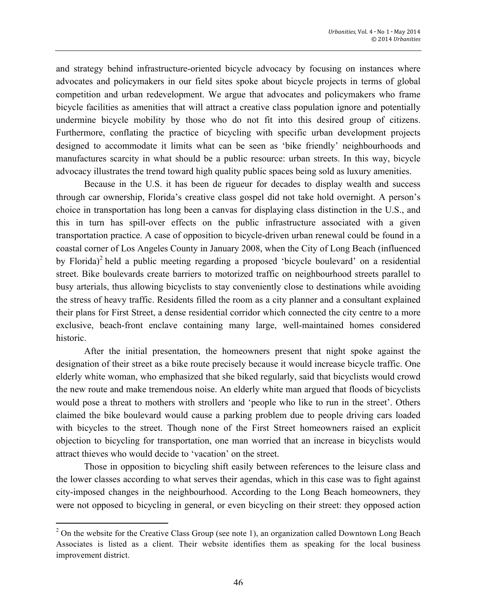and strategy behind infrastructure-oriented bicycle advocacy by focusing on instances where advocates and policymakers in our field sites spoke about bicycle projects in terms of global competition and urban redevelopment. We argue that advocates and policymakers who frame bicycle facilities as amenities that will attract a creative class population ignore and potentially undermine bicycle mobility by those who do not fit into this desired group of citizens. Furthermore, conflating the practice of bicycling with specific urban development projects designed to accommodate it limits what can be seen as 'bike friendly' neighbourhoods and manufactures scarcity in what should be a public resource: urban streets. In this way, bicycle advocacy illustrates the trend toward high quality public spaces being sold as luxury amenities.

Because in the U.S. it has been de rigueur for decades to display wealth and success through car ownership, Florida's creative class gospel did not take hold overnight. A person's choice in transportation has long been a canvas for displaying class distinction in the U.S., and this in turn has spill-over effects on the public infrastructure associated with a given transportation practice. A case of opposition to bicycle-driven urban renewal could be found in a coastal corner of Los Angeles County in January 2008, when the City of Long Beach (influenced by Florida)<sup>2</sup> held a public meeting regarding a proposed 'bicycle boulevard' on a residential street. Bike boulevards create barriers to motorized traffic on neighbourhood streets parallel to busy arterials, thus allowing bicyclists to stay conveniently close to destinations while avoiding the stress of heavy traffic. Residents filled the room as a city planner and a consultant explained their plans for First Street, a dense residential corridor which connected the city centre to a more exclusive, beach-front enclave containing many large, well-maintained homes considered historic.

After the initial presentation, the homeowners present that night spoke against the designation of their street as a bike route precisely because it would increase bicycle traffic. One elderly white woman, who emphasized that she biked regularly, said that bicyclists would crowd the new route and make tremendous noise. An elderly white man argued that floods of bicyclists would pose a threat to mothers with strollers and 'people who like to run in the street'. Others claimed the bike boulevard would cause a parking problem due to people driving cars loaded with bicycles to the street. Though none of the First Street homeowners raised an explicit objection to bicycling for transportation, one man worried that an increase in bicyclists would attract thieves who would decide to 'vacation' on the street.

Those in opposition to bicycling shift easily between references to the leisure class and the lower classes according to what serves their agendas, which in this case was to fight against city-imposed changes in the neighbourhood. According to the Long Beach homeowners, they were not opposed to bicycling in general, or even bicycling on their street: they opposed action

<u> 1989 - Jan Stein Stein, fransk politiker (d. 1989)</u>

 $2$  On the website for the Creative Class Group (see note 1), an organization called Downtown Long Beach Associates is listed as a client. Their website identifies them as speaking for the local business improvement district.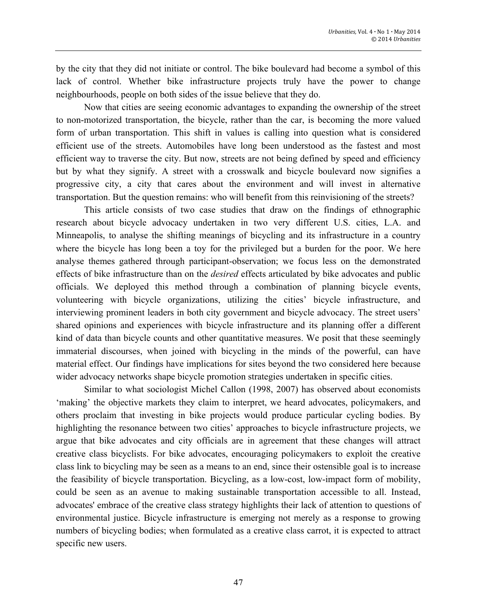by the city that they did not initiate or control. The bike boulevard had become a symbol of this lack of control. Whether bike infrastructure projects truly have the power to change neighbourhoods, people on both sides of the issue believe that they do.

Now that cities are seeing economic advantages to expanding the ownership of the street to non-motorized transportation, the bicycle, rather than the car, is becoming the more valued form of urban transportation. This shift in values is calling into question what is considered efficient use of the streets. Automobiles have long been understood as the fastest and most efficient way to traverse the city. But now, streets are not being defined by speed and efficiency but by what they signify. A street with a crosswalk and bicycle boulevard now signifies a progressive city, a city that cares about the environment and will invest in alternative transportation. But the question remains: who will benefit from this reinvisioning of the streets?

This article consists of two case studies that draw on the findings of ethnographic research about bicycle advocacy undertaken in two very different U.S. cities, L.A. and Minneapolis, to analyse the shifting meanings of bicycling and its infrastructure in a country where the bicycle has long been a toy for the privileged but a burden for the poor. We here analyse themes gathered through participant-observation; we focus less on the demonstrated effects of bike infrastructure than on the *desired* effects articulated by bike advocates and public officials. We deployed this method through a combination of planning bicycle events, volunteering with bicycle organizations, utilizing the cities' bicycle infrastructure, and interviewing prominent leaders in both city government and bicycle advocacy. The street users' shared opinions and experiences with bicycle infrastructure and its planning offer a different kind of data than bicycle counts and other quantitative measures. We posit that these seemingly immaterial discourses, when joined with bicycling in the minds of the powerful, can have material effect. Our findings have implications for sites beyond the two considered here because wider advocacy networks shape bicycle promotion strategies undertaken in specific cities.

Similar to what sociologist Michel Callon (1998, 2007) has observed about economists 'making' the objective markets they claim to interpret, we heard advocates, policymakers, and others proclaim that investing in bike projects would produce particular cycling bodies. By highlighting the resonance between two cities' approaches to bicycle infrastructure projects, we argue that bike advocates and city officials are in agreement that these changes will attract creative class bicyclists. For bike advocates, encouraging policymakers to exploit the creative class link to bicycling may be seen as a means to an end, since their ostensible goal is to increase the feasibility of bicycle transportation. Bicycling, as a low-cost, low-impact form of mobility, could be seen as an avenue to making sustainable transportation accessible to all. Instead, advocates' embrace of the creative class strategy highlights their lack of attention to questions of environmental justice. Bicycle infrastructure is emerging not merely as a response to growing numbers of bicycling bodies; when formulated as a creative class carrot, it is expected to attract specific new users.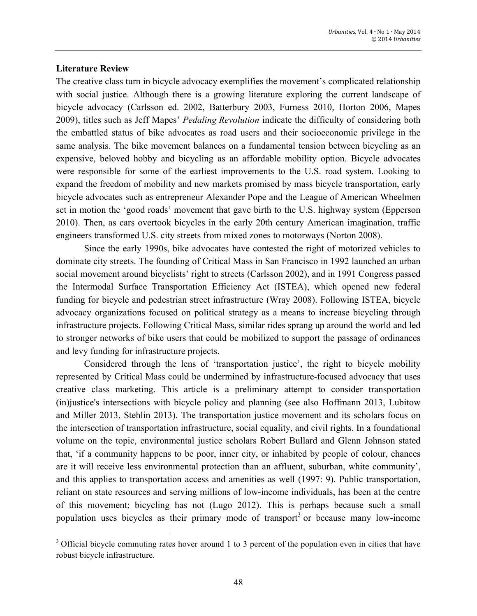#### **Literature Review**

<u> 1989 - Jan Stein Stein, fransk politiker (d. 1989)</u>

The creative class turn in bicycle advocacy exemplifies the movement's complicated relationship with social justice. Although there is a growing literature exploring the current landscape of bicycle advocacy (Carlsson ed. 2002, Batterbury 2003, Furness 2010, Horton 2006, Mapes 2009), titles such as Jeff Mapes' *Pedaling Revolution* indicate the difficulty of considering both the embattled status of bike advocates as road users and their socioeconomic privilege in the same analysis. The bike movement balances on a fundamental tension between bicycling as an expensive, beloved hobby and bicycling as an affordable mobility option. Bicycle advocates were responsible for some of the earliest improvements to the U.S. road system. Looking to expand the freedom of mobility and new markets promised by mass bicycle transportation, early bicycle advocates such as entrepreneur Alexander Pope and the League of American Wheelmen set in motion the 'good roads' movement that gave birth to the U.S. highway system (Epperson 2010). Then, as cars overtook bicycles in the early 20th century American imagination, traffic engineers transformed U.S. city streets from mixed zones to motorways (Norton 2008).

Since the early 1990s, bike advocates have contested the right of motorized vehicles to dominate city streets. The founding of Critical Mass in San Francisco in 1992 launched an urban social movement around bicyclists' right to streets (Carlsson 2002), and in 1991 Congress passed the Intermodal Surface Transportation Efficiency Act (ISTEA), which opened new federal funding for bicycle and pedestrian street infrastructure (Wray 2008). Following ISTEA, bicycle advocacy organizations focused on political strategy as a means to increase bicycling through infrastructure projects. Following Critical Mass, similar rides sprang up around the world and led to stronger networks of bike users that could be mobilized to support the passage of ordinances and levy funding for infrastructure projects.

Considered through the lens of 'transportation justice', the right to bicycle mobility represented by Critical Mass could be undermined by infrastructure-focused advocacy that uses creative class marketing. This article is a preliminary attempt to consider transportation (in)justice's intersections with bicycle policy and planning (see also Hoffmann 2013, Lubitow and Miller 2013, Stehlin 2013). The transportation justice movement and its scholars focus on the intersection of transportation infrastructure, social equality, and civil rights. In a foundational volume on the topic, environmental justice scholars Robert Bullard and Glenn Johnson stated that, 'if a community happens to be poor, inner city, or inhabited by people of colour, chances are it will receive less environmental protection than an affluent, suburban, white community', and this applies to transportation access and amenities as well (1997: 9). Public transportation, reliant on state resources and serving millions of low-income individuals, has been at the centre of this movement; bicycling has not (Lugo 2012). This is perhaps because such a small population uses bicycles as their primary mode of transport<sup>3</sup> or because many low-income

<sup>&</sup>lt;sup>3</sup> Official bicycle commuting rates hover around 1 to 3 percent of the population even in cities that have robust bicycle infrastructure.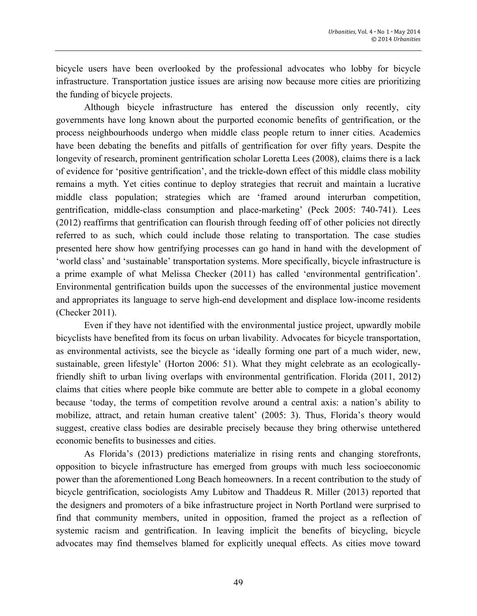bicycle users have been overlooked by the professional advocates who lobby for bicycle infrastructure. Transportation justice issues are arising now because more cities are prioritizing the funding of bicycle projects.

Although bicycle infrastructure has entered the discussion only recently, city governments have long known about the purported economic benefits of gentrification, or the process neighbourhoods undergo when middle class people return to inner cities. Academics have been debating the benefits and pitfalls of gentrification for over fifty years. Despite the longevity of research, prominent gentrification scholar Loretta Lees (2008), claims there is a lack of evidence for 'positive gentrification', and the trickle-down effect of this middle class mobility remains a myth. Yet cities continue to deploy strategies that recruit and maintain a lucrative middle class population; strategies which are 'framed around interurban competition, gentrification, middle-class consumption and place-marketing' (Peck 2005: 740-741). Lees (2012) reaffirms that gentrification can flourish through feeding off of other policies not directly referred to as such, which could include those relating to transportation. The case studies presented here show how gentrifying processes can go hand in hand with the development of 'world class' and 'sustainable' transportation systems. More specifically, bicycle infrastructure is a prime example of what Melissa Checker (2011) has called 'environmental gentrification'. Environmental gentrification builds upon the successes of the environmental justice movement and appropriates its language to serve high-end development and displace low-income residents (Checker 2011).

Even if they have not identified with the environmental justice project, upwardly mobile bicyclists have benefited from its focus on urban livability. Advocates for bicycle transportation, as environmental activists, see the bicycle as 'ideally forming one part of a much wider, new, sustainable, green lifestyle' (Horton 2006: 51). What they might celebrate as an ecologicallyfriendly shift to urban living overlaps with environmental gentrification. Florida (2011, 2012) claims that cities where people bike commute are better able to compete in a global economy because 'today, the terms of competition revolve around a central axis: a nation's ability to mobilize, attract, and retain human creative talent' (2005: 3). Thus, Florida's theory would suggest, creative class bodies are desirable precisely because they bring otherwise untethered economic benefits to businesses and cities.

As Florida's (2013) predictions materialize in rising rents and changing storefronts, opposition to bicycle infrastructure has emerged from groups with much less socioeconomic power than the aforementioned Long Beach homeowners. In a recent contribution to the study of bicycle gentrification, sociologists Amy Lubitow and Thaddeus R. Miller (2013) reported that the designers and promoters of a bike infrastructure project in North Portland were surprised to find that community members, united in opposition, framed the project as a reflection of systemic racism and gentrification. In leaving implicit the benefits of bicycling, bicycle advocates may find themselves blamed for explicitly unequal effects. As cities move toward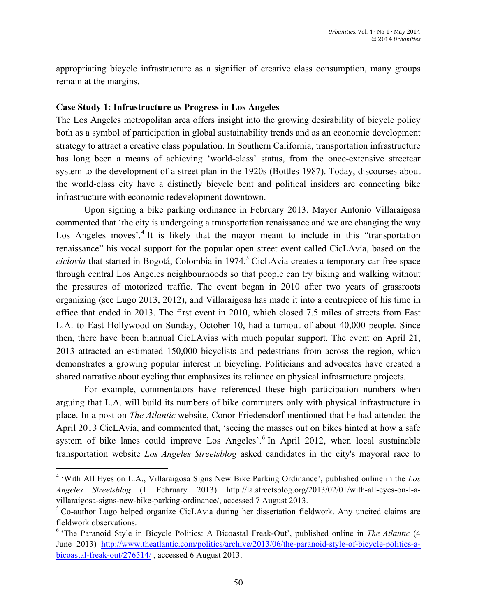appropriating bicycle infrastructure as a signifier of creative class consumption, many groups remain at the margins.

#### **Case Study 1: Infrastructure as Progress in Los Angeles**

<u> 1989 - Jan Stein Stein, fransk politiker (d. 1989)</u>

The Los Angeles metropolitan area offers insight into the growing desirability of bicycle policy both as a symbol of participation in global sustainability trends and as an economic development strategy to attract a creative class population. In Southern California, transportation infrastructure has long been a means of achieving 'world-class' status, from the once-extensive streetcar system to the development of a street plan in the 1920s (Bottles 1987). Today, discourses about the world-class city have a distinctly bicycle bent and political insiders are connecting bike infrastructure with economic redevelopment downtown.

Upon signing a bike parking ordinance in February 2013, Mayor Antonio Villaraigosa commented that 'the city is undergoing a transportation renaissance and we are changing the way Los Angeles moves<sup>'</sup>.<sup>4</sup> It is likely that the mayor meant to include in this "transportation renaissance" his vocal support for the popular open street event called CicLAvia, based on the *ciclovía* that started in Bogotá, Colombia in 1974.<sup>5</sup> CicLAvia creates a temporary car-free space through central Los Angeles neighbourhoods so that people can try biking and walking without the pressures of motorized traffic. The event began in 2010 after two years of grassroots organizing (see Lugo 2013, 2012), and Villaraigosa has made it into a centrepiece of his time in office that ended in 2013. The first event in 2010, which closed 7.5 miles of streets from East L.A. to East Hollywood on Sunday, October 10, had a turnout of about 40,000 people. Since then, there have been biannual CicLAvias with much popular support. The event on April 21, 2013 attracted an estimated 150,000 bicyclists and pedestrians from across the region, which demonstrates a growing popular interest in bicycling. Politicians and advocates have created a shared narrative about cycling that emphasizes its reliance on physical infrastructure projects.

For example, commentators have referenced these high participation numbers when arguing that L.A. will build its numbers of bike commuters only with physical infrastructure in place. In a post on *The Atlantic* website, Conor Friedersdorf mentioned that he had attended the April 2013 CicLAvia, and commented that, 'seeing the masses out on bikes hinted at how a safe system of bike lanes could improve Los Angeles'.<sup>6</sup> In April 2012, when local sustainable transportation website *Los Angeles Streetsblog* asked candidates in the city's mayoral race to

<sup>4</sup> 'With All Eyes on L.A., Villaraigosa Signs New Bike Parking Ordinance', published online in the *Los Angeles Streetsblog* (1 February 2013) http://la.streetsblog.org/2013/02/01/with-all-eyes-on-l-avillaraigosa-signs-new-bike-parking-ordinance/, accessed 7 August 2013.

<sup>&</sup>lt;sup>5</sup> Co-author Lugo helped organize CicLAvia during her dissertation fieldwork. Any uncited claims are fieldwork observations.

<sup>6</sup> 'The Paranoid Style in Bicycle Politics: A Bicoastal Freak-Out', published online in *The Atlantic* (4 June 2013) http://www.theatlantic.com/politics/archive/2013/06/the-paranoid-style-of-bicycle-politics-abicoastal-freak-out/276514/ , accessed 6 August 2013.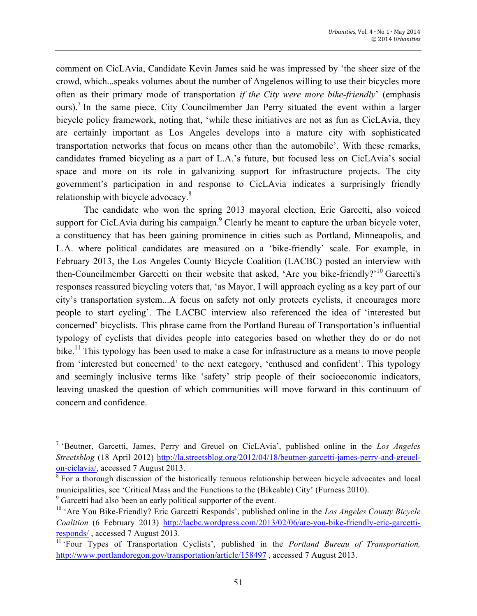comment on CicLAvia, Candidate Kevin James said he was impressed by 'the sheer size of the crowd, which...speaks volumes about the number of Angelenos willing to use their bicycles more often as their primary mode of transportation *if the City were more bike-friendly*' (emphasis ours).<sup>7</sup> In the same piece, City Councilmember Jan Perry situated the event within a larger bicycle policy framework, noting that, 'while these initiatives are not as fun as CicLAvia, they are certainly important as Los Angeles develops into a mature city with sophisticated transportation networks that focus on means other than the automobile'. With these remarks, candidates framed bicycling as a part of L.A.'s future, but focused less on CicLAvia's social space and more on its role in galvanizing support for infrastructure projects. The city government's participation in and response to CicLAvia indicates a surprisingly friendly relationship with bicycle advocacy.<sup>8</sup>

The candidate who won the spring 2013 mayoral election, Eric Garcetti, also voiced support for CicLAvia during his campaign. $9$  Clearly he meant to capture the urban bicycle voter, a constituency that has been gaining prominence in cities such as Portland, Minneapolis, and L.A. where political candidates are measured on a 'bike-friendly' scale. For example, in February 2013, the Los Angeles County Bicycle Coalition (LACBC) posted an interview with then-Councilmember Garcetti on their website that asked, 'Are you bike-friendly?'<sup>10</sup> Garcetti's responses reassured bicycling voters that, 'as Mayor, I will approach cycling as a key part of our city's transportation system...A focus on safety not only protects cyclists, it encourages more people to start cycling'. The LACBC interview also referenced the idea of 'interested but concerned' bicyclists. This phrase came from the Portland Bureau of Transportation's influential typology of cyclists that divides people into categories based on whether they do or do not bike.<sup>11</sup> This typology has been used to make a case for infrastructure as a means to move people from 'interested but concerned' to the next category, 'enthused and confident'. This typology and seemingly inclusive terms like 'safety' strip people of their socioeconomic indicators, leaving unasked the question of which communities will move forward in this continuum of concern and confidence.

<u> 1989 - Jan Stein Stein, fransk politiker (d. 1989)</u>

<sup>7</sup> 'Beutner, Garcetti, James, Perry and Greuel on CicLAvia', published online in the *Los Angeles Streetsblog* (18 April 2012) http://la.streetsblog.org/2012/04/18/beutner-garcetti-james-perry-and-greuelon-ciclavia/, accessed 7 August 2013.

<sup>&</sup>lt;sup>8</sup> For a thorough discussion of the historically tenuous relationship between bicycle advocates and local municipalities, see 'Critical Mass and the Functions to the (Bikeable) City' (Furness 2010).

<sup>9</sup> Garcetti had also been an early political supporter of the event.

<sup>10</sup> 'Are You Bike-Friendly? Eric Garcetti Responds', published online in the *Los Angeles County Bicycle Coalition* (6 February 2013) http://lacbc.wordpress.com/2013/02/06/are-you-bike-friendly-eric-garcettiresponds/ , accessed 7 August 2013.

<sup>11</sup> 'Four Types of Transportation Cyclists', published in the *Portland Bureau of Transportation,*  http://www.portlandoregon.gov/transportation/article/158497 , accessed 7 August 2013.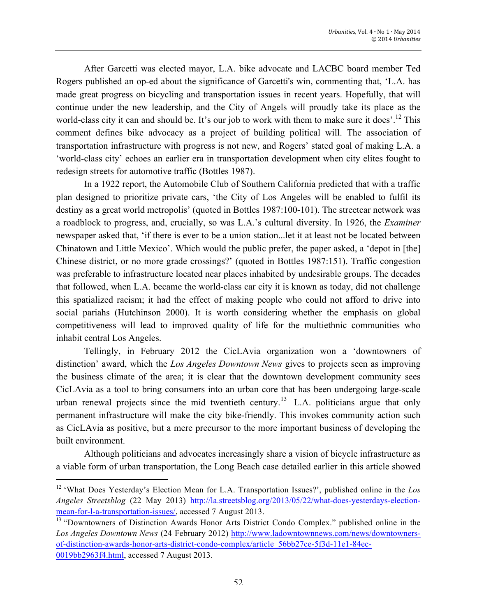After Garcetti was elected mayor, L.A. bike advocate and LACBC board member Ted Rogers published an op-ed about the significance of Garcetti's win, commenting that, 'L.A. has made great progress on bicycling and transportation issues in recent years. Hopefully, that will continue under the new leadership, and the City of Angels will proudly take its place as the world-class city it can and should be. It's our job to work with them to make sure it does'.<sup>12</sup> This comment defines bike advocacy as a project of building political will. The association of transportation infrastructure with progress is not new, and Rogers' stated goal of making L.A. a 'world-class city' echoes an earlier era in transportation development when city elites fought to redesign streets for automotive traffic (Bottles 1987).

In a 1922 report, the Automobile Club of Southern California predicted that with a traffic plan designed to prioritize private cars, 'the City of Los Angeles will be enabled to fulfil its destiny as a great world metropolis' (quoted in Bottles 1987:100-101). The streetcar network was a roadblock to progress, and, crucially, so was L.A.'s cultural diversity. In 1926, the *Examiner* newspaper asked that, 'if there is ever to be a union station...let it at least not be located between Chinatown and Little Mexico'. Which would the public prefer, the paper asked, a 'depot in [the] Chinese district, or no more grade crossings?' (quoted in Bottles 1987:151). Traffic congestion was preferable to infrastructure located near places inhabited by undesirable groups. The decades that followed, when L.A. became the world-class car city it is known as today, did not challenge this spatialized racism; it had the effect of making people who could not afford to drive into social pariahs (Hutchinson 2000). It is worth considering whether the emphasis on global competitiveness will lead to improved quality of life for the multiethnic communities who inhabit central Los Angeles.

Tellingly, in February 2012 the CicLAvia organization won a 'downtowners of distinction' award, which the *Los Angeles Downtown News* gives to projects seen as improving the business climate of the area; it is clear that the downtown development community sees CicLAvia as a tool to bring consumers into an urban core that has been undergoing large-scale urban renewal projects since the mid twentieth century.<sup>13</sup> L.A. politicians argue that only permanent infrastructure will make the city bike-friendly. This invokes community action such as CicLAvia as positive, but a mere precursor to the more important business of developing the built environment.

Although politicians and advocates increasingly share a vision of bicycle infrastructure as a viable form of urban transportation, the Long Beach case detailed earlier in this article showed

 

<sup>12</sup> 'What Does Yesterday's Election Mean for L.A. Transportation Issues?', published online in the *Los Angeles Streetsblog* (22 May 2013) http://la.streetsblog.org/2013/05/22/what-does-yesterdays-electionmean-for-l-a-transportation-issues/, accessed 7 August 2013.

<sup>&</sup>lt;sup>13</sup> "Downtowners of Distinction Awards Honor Arts District Condo Complex." published online in the *Los Angeles Downtown News* (24 February 2012) http://www.ladowntownnews.com/news/downtownersof-distinction-awards-honor-arts-district-condo-complex/article\_56bb27ce-5f3d-11e1-84ec-0019bb2963f4.html, accessed 7 August 2013.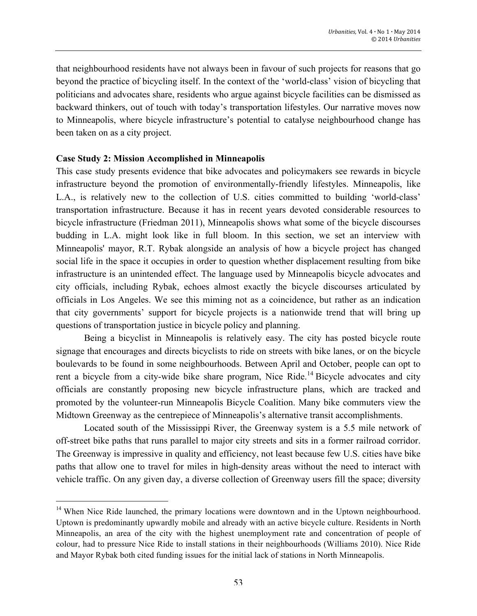that neighbourhood residents have not always been in favour of such projects for reasons that go beyond the practice of bicycling itself. In the context of the 'world-class' vision of bicycling that politicians and advocates share, residents who argue against bicycle facilities can be dismissed as backward thinkers, out of touch with today's transportation lifestyles. Our narrative moves now to Minneapolis, where bicycle infrastructure's potential to catalyse neighbourhood change has been taken on as a city project.

## **Case Study 2: Mission Accomplished in Minneapolis**

<u> 1989 - Jan Stein Stein, fransk politiker (d. 1989)</u>

This case study presents evidence that bike advocates and policymakers see rewards in bicycle infrastructure beyond the promotion of environmentally-friendly lifestyles. Minneapolis, like L.A., is relatively new to the collection of U.S. cities committed to building 'world-class' transportation infrastructure. Because it has in recent years devoted considerable resources to bicycle infrastructure (Friedman 2011), Minneapolis shows what some of the bicycle discourses budding in L.A. might look like in full bloom. In this section, we set an interview with Minneapolis' mayor, R.T. Rybak alongside an analysis of how a bicycle project has changed social life in the space it occupies in order to question whether displacement resulting from bike infrastructure is an unintended effect. The language used by Minneapolis bicycle advocates and city officials, including Rybak, echoes almost exactly the bicycle discourses articulated by officials in Los Angeles. We see this miming not as a coincidence, but rather as an indication that city governments' support for bicycle projects is a nationwide trend that will bring up questions of transportation justice in bicycle policy and planning.

Being a bicyclist in Minneapolis is relatively easy. The city has posted bicycle route signage that encourages and directs bicyclists to ride on streets with bike lanes, or on the bicycle boulevards to be found in some neighbourhoods. Between April and October, people can opt to rent a bicycle from a city-wide bike share program, Nice Ride.<sup>14</sup> Bicycle advocates and city officials are constantly proposing new bicycle infrastructure plans, which are tracked and promoted by the volunteer-run Minneapolis Bicycle Coalition. Many bike commuters view the Midtown Greenway as the centrepiece of Minneapolis's alternative transit accomplishments.

Located south of the Mississippi River, the Greenway system is a 5.5 mile network of off-street bike paths that runs parallel to major city streets and sits in a former railroad corridor. The Greenway is impressive in quality and efficiency, not least because few U.S. cities have bike paths that allow one to travel for miles in high-density areas without the need to interact with vehicle traffic. On any given day, a diverse collection of Greenway users fill the space; diversity

<sup>&</sup>lt;sup>14</sup> When Nice Ride launched, the primary locations were downtown and in the Uptown neighbourhood. Uptown is predominantly upwardly mobile and already with an active bicycle culture. Residents in North Minneapolis, an area of the city with the highest unemployment rate and concentration of people of colour, had to pressure Nice Ride to install stations in their neighbourhoods (Williams 2010). Nice Ride and Mayor Rybak both cited funding issues for the initial lack of stations in North Minneapolis.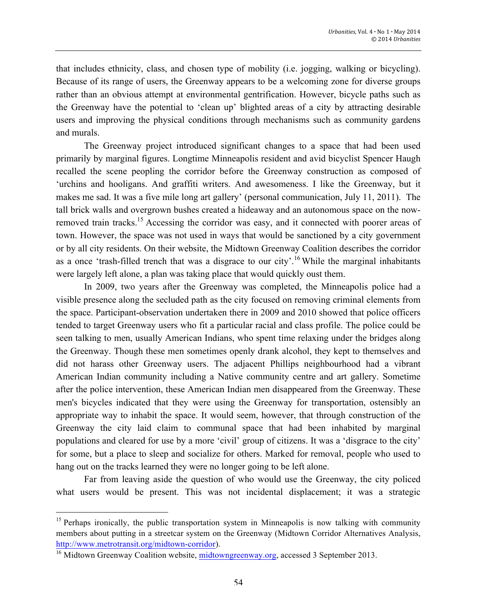that includes ethnicity, class, and chosen type of mobility (i.e. jogging, walking or bicycling). Because of its range of users, the Greenway appears to be a welcoming zone for diverse groups rather than an obvious attempt at environmental gentrification. However, bicycle paths such as the Greenway have the potential to 'clean up' blighted areas of a city by attracting desirable users and improving the physical conditions through mechanisms such as community gardens and murals.

The Greenway project introduced significant changes to a space that had been used primarily by marginal figures. Longtime Minneapolis resident and avid bicyclist Spencer Haugh recalled the scene peopling the corridor before the Greenway construction as composed of 'urchins and hooligans. And graffiti writers. And awesomeness. I like the Greenway, but it makes me sad. It was a five mile long art gallery' (personal communication, July 11, 2011). The tall brick walls and overgrown bushes created a hideaway and an autonomous space on the nowremoved train tracks.<sup>15</sup> Accessing the corridor was easy, and it connected with poorer areas of town. However, the space was not used in ways that would be sanctioned by a city government or by all city residents. On their website, the Midtown Greenway Coalition describes the corridor as a once 'trash-filled trench that was a disgrace to our city'.<sup>16</sup> While the marginal inhabitants were largely left alone, a plan was taking place that would quickly oust them.

In 2009, two years after the Greenway was completed, the Minneapolis police had a visible presence along the secluded path as the city focused on removing criminal elements from the space. Participant-observation undertaken there in 2009 and 2010 showed that police officers tended to target Greenway users who fit a particular racial and class profile. The police could be seen talking to men, usually American Indians, who spent time relaxing under the bridges along the Greenway. Though these men sometimes openly drank alcohol, they kept to themselves and did not harass other Greenway users. The adjacent Phillips neighbourhood had a vibrant American Indian community including a Native community centre and art gallery. Sometime after the police intervention, these American Indian men disappeared from the Greenway. These men's bicycles indicated that they were using the Greenway for transportation, ostensibly an appropriate way to inhabit the space. It would seem, however, that through construction of the Greenway the city laid claim to communal space that had been inhabited by marginal populations and cleared for use by a more 'civil' group of citizens. It was a 'disgrace to the city' for some, but a place to sleep and socialize for others. Marked for removal, people who used to hang out on the tracks learned they were no longer going to be left alone.

Far from leaving aside the question of who would use the Greenway, the city policed what users would be present. This was not incidental displacement; it was a strategic

 

<sup>&</sup>lt;sup>15</sup> Perhaps ironically, the public transportation system in Minneapolis is now talking with community members about putting in a streetcar system on the Greenway (Midtown Corridor Alternatives Analysis, http://www.metrotransit.org/midtown-corridor).

<sup>&</sup>lt;sup>16</sup> Midtown Greenway Coalition website, midtowngreenway.org, accessed 3 September 2013.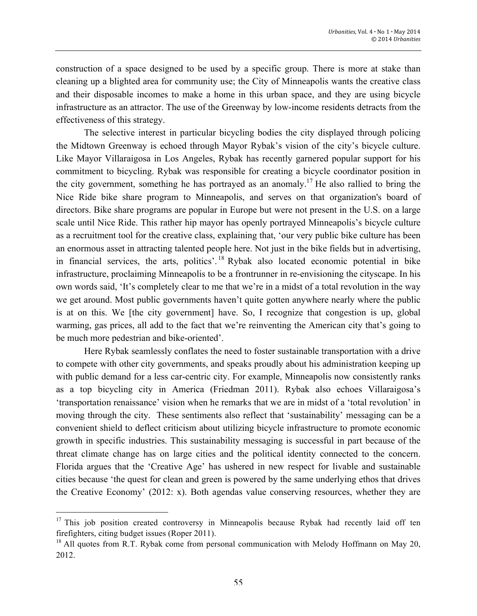construction of a space designed to be used by a specific group. There is more at stake than cleaning up a blighted area for community use; the City of Minneapolis wants the creative class and their disposable incomes to make a home in this urban space, and they are using bicycle infrastructure as an attractor. The use of the Greenway by low-income residents detracts from the effectiveness of this strategy.

The selective interest in particular bicycling bodies the city displayed through policing the Midtown Greenway is echoed through Mayor Rybak's vision of the city's bicycle culture. Like Mayor Villaraigosa in Los Angeles, Rybak has recently garnered popular support for his commitment to bicycling. Rybak was responsible for creating a bicycle coordinator position in the city government, something he has portrayed as an anomaly.<sup>17</sup> He also rallied to bring the Nice Ride bike share program to Minneapolis, and serves on that organization's board of directors. Bike share programs are popular in Europe but were not present in the U.S. on a large scale until Nice Ride. This rather hip mayor has openly portrayed Minneapolis's bicycle culture as a recruitment tool for the creative class, explaining that, 'our very public bike culture has been an enormous asset in attracting talented people here. Not just in the bike fields but in advertising, in financial services, the arts, politics'. <sup>18</sup> Rybak also located economic potential in bike infrastructure, proclaiming Minneapolis to be a frontrunner in re-envisioning the cityscape. In his own words said, 'It's completely clear to me that we're in a midst of a total revolution in the way we get around. Most public governments haven't quite gotten anywhere nearly where the public is at on this. We [the city government] have. So, I recognize that congestion is up, global warming, gas prices, all add to the fact that we're reinventing the American city that's going to be much more pedestrian and bike-oriented'.

Here Rybak seamlessly conflates the need to foster sustainable transportation with a drive to compete with other city governments, and speaks proudly about his administration keeping up with public demand for a less car-centric city. For example, Minneapolis now consistently ranks as a top bicycling city in America (Friedman 2011). Rybak also echoes Villaraigosa's 'transportation renaissance' vision when he remarks that we are in midst of a 'total revolution' in moving through the city. These sentiments also reflect that 'sustainability' messaging can be a convenient shield to deflect criticism about utilizing bicycle infrastructure to promote economic growth in specific industries. This sustainability messaging is successful in part because of the threat climate change has on large cities and the political identity connected to the concern. Florida argues that the 'Creative Age' has ushered in new respect for livable and sustainable cities because 'the quest for clean and green is powered by the same underlying ethos that drives the Creative Economy' (2012: x). Both agendas value conserving resources, whether they are

 

 $17$  This job position created controversy in Minneapolis because Rybak had recently laid off ten firefighters, citing budget issues (Roper 2011).

<sup>&</sup>lt;sup>18</sup> All quotes from R.T. Rybak come from personal communication with Melody Hoffmann on May 20, 2012.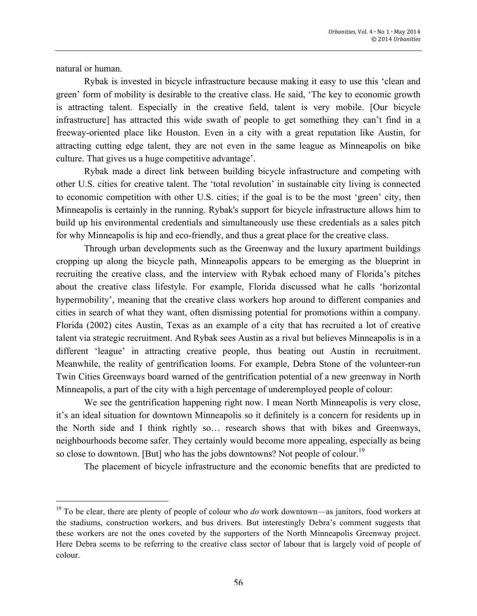natural or human.

<u> 1989 - Jan Stein Stein, fransk politiker (d. 1989)</u>

Rybak is invested in bicycle infrastructure because making it easy to use this 'clean and green' form of mobility is desirable to the creative class. He said, 'The key to economic growth is attracting talent. Especially in the creative field, talent is very mobile. [Our bicycle infrastructure] has attracted this wide swath of people to get something they can't find in a freeway-oriented place like Houston. Even in a city with a great reputation like Austin, for attracting cutting edge talent, they are not even in the same league as Minneapolis on bike culture. That gives us a huge competitive advantage'.

Rybak made a direct link between building bicycle infrastructure and competing with other U.S. cities for creative talent. The 'total revolution' in sustainable city living is connected to economic competition with other U.S. cities; if the goal is to be the most 'green' city, then Minneapolis is certainly in the running. Rybak's support for bicycle infrastructure allows him to build up his environmental credentials and simultaneously use these credentials as a sales pitch for why Minneapolis is hip and eco-friendly, and thus a great place for the creative class.

Through urban developments such as the Greenway and the luxury apartment buildings cropping up along the bicycle path, Minneapolis appears to be emerging as the blueprint in recruiting the creative class, and the interview with Rybak echoed many of Florida's pitches about the creative class lifestyle. For example, Florida discussed what he calls 'horizontal hypermobility', meaning that the creative class workers hop around to different companies and cities in search of what they want, often dismissing potential for promotions within a company. Florida (2002) cites Austin, Texas as an example of a city that has recruited a lot of creative talent via strategic recruitment. And Rybak sees Austin as a rival but believes Minneapolis is in a different 'league' in attracting creative people, thus beating out Austin in recruitment. Meanwhile, the reality of gentrification looms. For example, Debra Stone of the volunteer-run Twin Cities Greenways board warned of the gentrification potential of a new greenway in North Minneapolis, a part of the city with a high percentage of underemployed people of colour:

We see the gentrification happening right now. I mean North Minneapolis is very close, it's an ideal situation for downtown Minneapolis so it definitely is a concern for residents up in the North side and I think rightly so… research shows that with bikes and Greenways, neighbourhoods become safer. They certainly would become more appealing, especially as being so close to downtown. [But] who has the jobs downtowns? Not people of colour.<sup>19</sup>

The placement of bicycle infrastructure and the economic benefits that are predicted to

<sup>&</sup>lt;sup>19</sup> To be clear, there are plenty of people of colour who *do* work downtown—as janitors, food workers at the stadiums, construction workers, and bus drivers. But interestingly Debra's comment suggests that these workers are not the ones coveted by the supporters of the North Minneapolis Greenway project. Here Debra seems to be referring to the creative class sector of labour that is largely void of people of colour.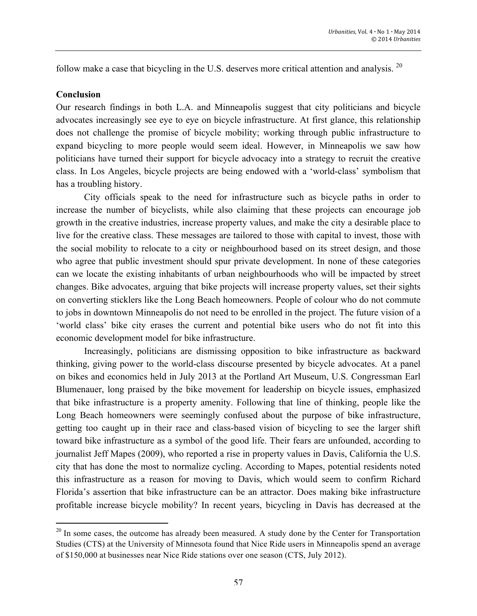follow make a case that bicycling in the U.S. deserves more critical attention and analysis.<sup>20</sup>

#### **Conclusion**

<u> 1989 - Jan Stein Stein, fransk politiker (d. 1989)</u>

Our research findings in both L.A. and Minneapolis suggest that city politicians and bicycle advocates increasingly see eye to eye on bicycle infrastructure. At first glance, this relationship does not challenge the promise of bicycle mobility; working through public infrastructure to expand bicycling to more people would seem ideal. However, in Minneapolis we saw how politicians have turned their support for bicycle advocacy into a strategy to recruit the creative class. In Los Angeles, bicycle projects are being endowed with a 'world-class' symbolism that has a troubling history.

City officials speak to the need for infrastructure such as bicycle paths in order to increase the number of bicyclists, while also claiming that these projects can encourage job growth in the creative industries, increase property values, and make the city a desirable place to live for the creative class. These messages are tailored to those with capital to invest, those with the social mobility to relocate to a city or neighbourhood based on its street design, and those who agree that public investment should spur private development. In none of these categories can we locate the existing inhabitants of urban neighbourhoods who will be impacted by street changes. Bike advocates, arguing that bike projects will increase property values, set their sights on converting sticklers like the Long Beach homeowners. People of colour who do not commute to jobs in downtown Minneapolis do not need to be enrolled in the project. The future vision of a 'world class' bike city erases the current and potential bike users who do not fit into this economic development model for bike infrastructure.

Increasingly, politicians are dismissing opposition to bike infrastructure as backward thinking, giving power to the world-class discourse presented by bicycle advocates. At a panel on bikes and economics held in July 2013 at the Portland Art Museum, U.S. Congressman Earl Blumenauer, long praised by the bike movement for leadership on bicycle issues, emphasized that bike infrastructure is a property amenity. Following that line of thinking, people like the Long Beach homeowners were seemingly confused about the purpose of bike infrastructure, getting too caught up in their race and class-based vision of bicycling to see the larger shift toward bike infrastructure as a symbol of the good life. Their fears are unfounded, according to journalist Jeff Mapes (2009), who reported a rise in property values in Davis, California the U.S. city that has done the most to normalize cycling. According to Mapes, potential residents noted this infrastructure as a reason for moving to Davis, which would seem to confirm Richard Florida's assertion that bike infrastructure can be an attractor. Does making bike infrastructure profitable increase bicycle mobility? In recent years, bicycling in Davis has decreased at the

<sup>&</sup>lt;sup>20</sup> In some cases, the outcome has already been measured. A study done by the Center for Transportation Studies (CTS) at the University of Minnesota found that Nice Ride users in Minneapolis spend an average of \$150,000 at businesses near Nice Ride stations over one season (CTS, July 2012).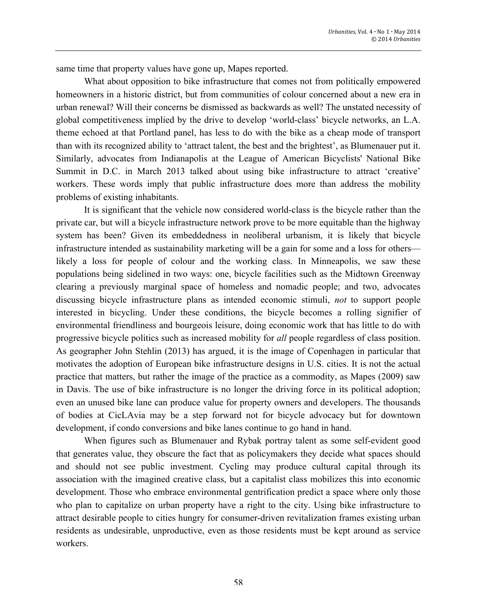same time that property values have gone up, Mapes reported.

What about opposition to bike infrastructure that comes not from politically empowered homeowners in a historic district, but from communities of colour concerned about a new era in urban renewal? Will their concerns be dismissed as backwards as well? The unstated necessity of global competitiveness implied by the drive to develop 'world-class' bicycle networks, an L.A. theme echoed at that Portland panel, has less to do with the bike as a cheap mode of transport than with its recognized ability to 'attract talent, the best and the brightest', as Blumenauer put it. Similarly, advocates from Indianapolis at the League of American Bicyclists' National Bike Summit in D.C. in March 2013 talked about using bike infrastructure to attract 'creative' workers. These words imply that public infrastructure does more than address the mobility problems of existing inhabitants.

It is significant that the vehicle now considered world-class is the bicycle rather than the private car, but will a bicycle infrastructure network prove to be more equitable than the highway system has been? Given its embeddedness in neoliberal urbanism, it is likely that bicycle infrastructure intended as sustainability marketing will be a gain for some and a loss for others likely a loss for people of colour and the working class. In Minneapolis, we saw these populations being sidelined in two ways: one, bicycle facilities such as the Midtown Greenway clearing a previously marginal space of homeless and nomadic people; and two, advocates discussing bicycle infrastructure plans as intended economic stimuli, *not* to support people interested in bicycling. Under these conditions, the bicycle becomes a rolling signifier of environmental friendliness and bourgeois leisure, doing economic work that has little to do with progressive bicycle politics such as increased mobility for *all* people regardless of class position. As geographer John Stehlin (2013) has argued, it is the image of Copenhagen in particular that motivates the adoption of European bike infrastructure designs in U.S. cities. It is not the actual practice that matters, but rather the image of the practice as a commodity, as Mapes (2009) saw in Davis. The use of bike infrastructure is no longer the driving force in its political adoption; even an unused bike lane can produce value for property owners and developers. The thousands of bodies at CicLAvia may be a step forward not for bicycle advocacy but for downtown development, if condo conversions and bike lanes continue to go hand in hand.

When figures such as Blumenauer and Rybak portray talent as some self-evident good that generates value, they obscure the fact that as policymakers they decide what spaces should and should not see public investment. Cycling may produce cultural capital through its association with the imagined creative class, but a capitalist class mobilizes this into economic development. Those who embrace environmental gentrification predict a space where only those who plan to capitalize on urban property have a right to the city. Using bike infrastructure to attract desirable people to cities hungry for consumer-driven revitalization frames existing urban residents as undesirable, unproductive, even as those residents must be kept around as service workers.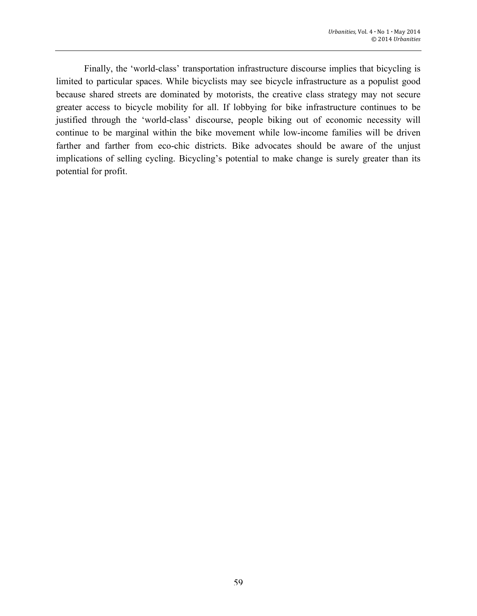Finally, the 'world-class' transportation infrastructure discourse implies that bicycling is limited to particular spaces. While bicyclists may see bicycle infrastructure as a populist good because shared streets are dominated by motorists, the creative class strategy may not secure greater access to bicycle mobility for all. If lobbying for bike infrastructure continues to be justified through the 'world-class' discourse, people biking out of economic necessity will continue to be marginal within the bike movement while low-income families will be driven farther and farther from eco-chic districts. Bike advocates should be aware of the unjust implications of selling cycling. Bicycling's potential to make change is surely greater than its potential for profit.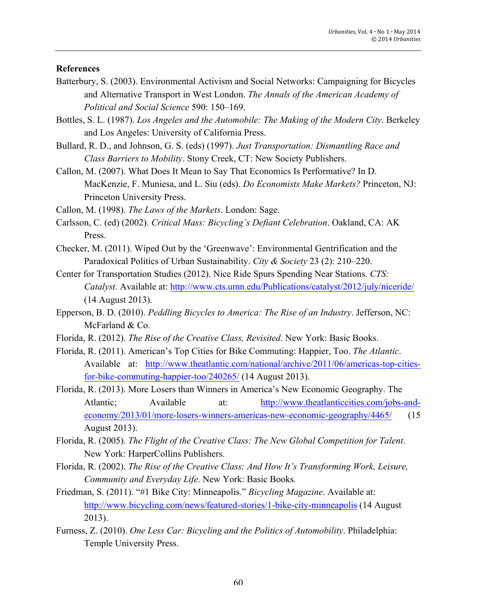# **References**

- Batterbury, S. (2003). Environmental Activism and Social Networks: Campaigning for Bicycles and Alternative Transport in West London. *The Annals of the American Academy of Political and Social Science* 590: 150–169.
- Bottles, S. L. (1987). *Los Angeles and the Automobile: The Making of the Modern City*. Berkeley and Los Angeles: University of California Press.
- Bullard, R. D., and Johnson, G. S. (eds) (1997). *Just Transportation: Dismantling Race and Class Barriers to Mobility*. Stony Creek, CT: New Society Publishers.
- Callon, M. (2007). What Does It Mean to Say That Economics Is Performative? In D. MacKenzie, F. Muniesa, and L. Siu (eds). *Do Economists Make Markets?* Princeton, NJ: Princeton University Press.
- Callon, M. (1998). *The Laws of the Markets*. London: Sage.
- Carlsson, C. (ed) (2002). *Critical Mass: Bicycling's Defiant Celebration*. Oakland, CA: AK Press.
- Checker, M. (2011). Wiped Out by the 'Greenwave': Environmental Gentrification and the Paradoxical Politics of Urban Sustainability. *City & Society* 23 (2): 210–220.
- Center for Transportation Studies (2012). Nice Ride Spurs Spending Near Stations. *CTS: Catalyst.* Available at: http://www.cts.umn.edu/Publications/catalyst/2012/july/niceride/ (14 August 2013).
- Epperson, B. D. (2010). *Peddling Bicycles to America: The Rise of an Industry*. Jefferson, NC: McFarland & Co.
- Florida, R. (2012). *The Rise of the Creative Class, Revisited*. New York: Basic Books.
- Florida, R. (2011). American's Top Cities for Bike Commuting: Happier, Too. *The Atlantic*. Available at: http://www.theatlantic.com/national/archive/2011/06/americas-top-citiesfor-bike-commuting-happier-too/240265/ (14 August 2013).
- Florida, R. (2013). More Losers than Winners in America's New Economic Geography. The Atlantic; Available at: http://www.theatlanticcities.com/jobs-andeconomy/2013/01/more-losers-winners-americas-new-economic-geography/4465/ (15 August 2013).
- Florida, R. (2005). *The Flight of the Creative Class: The New Global Competition for Talent*. New York: HarperCollins Publishers.
- Florida, R. (2002). *The Rise of the Creative Class: And How It's Transforming Work, Leisure, Community and Everyday Life*. New York: Basic Books*.*
- Friedman, S. (2011). "#1 Bike City: Minneapolis." *Bicycling Magazine*. Available at: http://www.bicycling.com/news/featured-stories/1-bike-city-minneapolis (14 August 2013).
- Furness, Z. (2010). *One Less Car: Bicycling and the Politics of Automobility*. Philadelphia: Temple University Press.